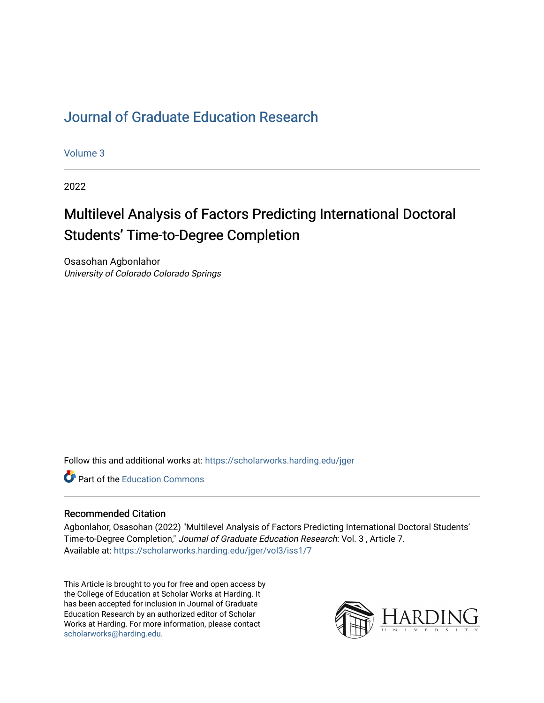## [Journal of Graduate Education Research](https://scholarworks.harding.edu/jger)

[Volume 3](https://scholarworks.harding.edu/jger/vol3)

2022

# Multilevel Analysis of Factors Predicting International Doctoral Students' Time-to-Degree Completion

Osasohan Agbonlahor University of Colorado Colorado Springs

Follow this and additional works at: [https://scholarworks.harding.edu/jger](https://scholarworks.harding.edu/jger?utm_source=scholarworks.harding.edu%2Fjger%2Fvol3%2Fiss1%2F7&utm_medium=PDF&utm_campaign=PDFCoverPages) 

**C** Part of the [Education Commons](http://network.bepress.com/hgg/discipline/784?utm_source=scholarworks.harding.edu%2Fjger%2Fvol3%2Fiss1%2F7&utm_medium=PDF&utm_campaign=PDFCoverPages)

#### Recommended Citation

Agbonlahor, Osasohan (2022) "Multilevel Analysis of Factors Predicting International Doctoral Students' Time-to-Degree Completion," Journal of Graduate Education Research: Vol. 3 , Article 7. Available at: [https://scholarworks.harding.edu/jger/vol3/iss1/7](https://scholarworks.harding.edu/jger/vol3/iss1/7?utm_source=scholarworks.harding.edu%2Fjger%2Fvol3%2Fiss1%2F7&utm_medium=PDF&utm_campaign=PDFCoverPages)

This Article is brought to you for free and open access by the College of Education at Scholar Works at Harding. It has been accepted for inclusion in Journal of Graduate Education Research by an authorized editor of Scholar Works at Harding. For more information, please contact [scholarworks@harding.edu](mailto:scholarworks@harding.edu).

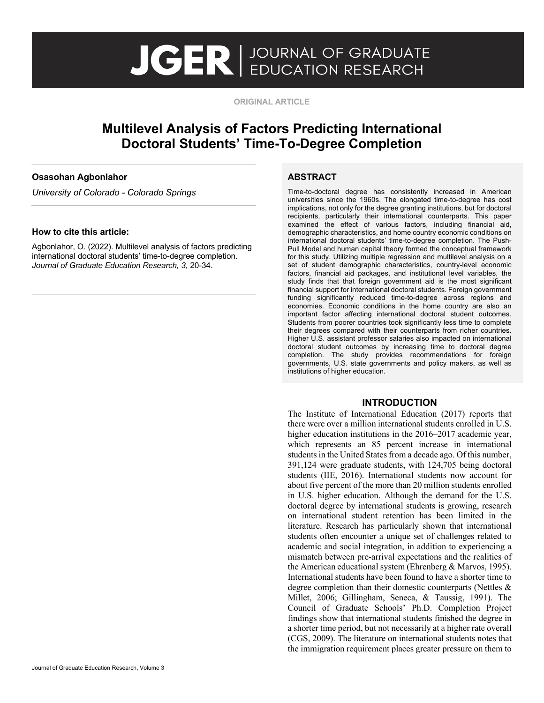# **JGER** BUCATION RESEARCH

**ORIGINAL ARTICLE**

### **Multilevel Analysis of Factors Predicting International Doctoral Students' Time-To-Degree Completion**

#### **Osasohan Agbonlahor**

*University of Colorado - Colorado Springs* 

#### **How to cite this article:**

Agbonlahor, O. (2022). Multilevel analysis of factors predicting international doctoral students' time-to-degree completion. *Journal of Graduate Education Research, 3,* 20-34.

#### **ABSTRACT**

Time-to-doctoral degree has consistently increased in American universities since the 1960s. The elongated time-to-degree has cost implications, not only for the degree granting institutions, but for doctoral recipients, particularly their international counterparts. This paper examined the effect of various factors, including financial aid, demographic characteristics, and home country economic conditions on international doctoral students' time-to-degree completion. The Push-Pull Model and human capital theory formed the conceptual framework for this study. Utilizing multiple regression and multilevel analysis on a set of student demographic characteristics, country-level economic factors, financial aid packages, and institutional level variables, the study finds that that foreign government aid is the most significant financial support for international doctoral students. Foreign government funding significantly reduced time-to-degree across regions and economies. Economic conditions in the home country are also an important factor affecting international doctoral student outcomes. Students from poorer countries took significantly less time to complete their degrees compared with their counterparts from richer countries. Higher U.S. assistant professor salaries also impacted on international doctoral student outcomes by increasing time to doctoral degree completion. The study provides recommendations for foreign governments, U.S. state governments and policy makers, as well as institutions of higher education.

 $\begin{array}{c} \hline \end{array}$ 

#### **INTRODUCTION**

The Institute of International Education (2017) reports that there were over a million international students enrolled in U.S. higher education institutions in the 2016–2017 academic year, which represents an 85 percent increase in international students in the United States from a decade ago. Of this number, 391,124 were graduate students, with 124,705 being doctoral students (IIE, 2016). International students now account for about five percent of the more than 20 million students enrolled in U.S. higher education. Although the demand for the U.S. doctoral degree by international students is growing, research on international student retention has been limited in the literature. Research has particularly shown that international students often encounter a unique set of challenges related to academic and social integration, in addition to experiencing a mismatch between pre-arrival expectations and the realities of the American educational system (Ehrenberg & Marvos, 1995). International students have been found to have a shorter time to degree completion than their domestic counterparts (Nettles & Millet, 2006; Gillingham, Seneca, & Taussig, 1991). The Council of Graduate Schools' Ph.D. Completion Project findings show that international students finished the degree in a shorter time period, but not necessarily at a higher rate overall (CGS, 2009). The literature on international students notes that the immigration requirement places greater pressure on them to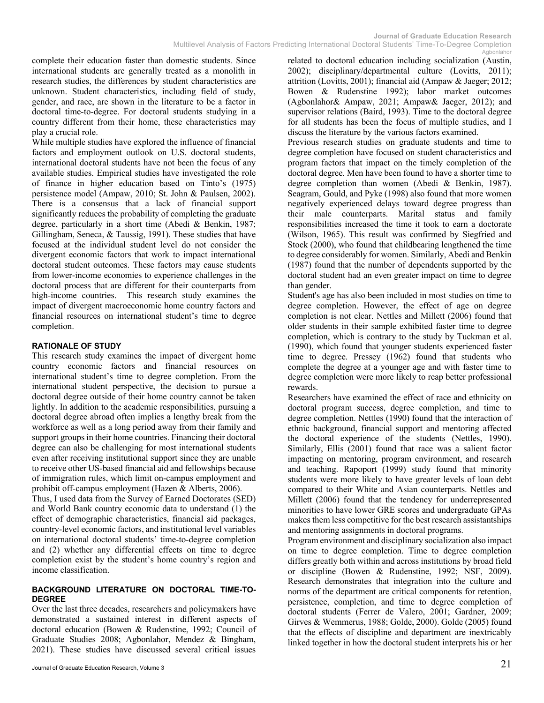complete their education faster than domestic students. Since international students are generally treated as a monolith in research studies, the differences by student characteristics are unknown. Student characteristics, including field of study, gender, and race, are shown in the literature to be a factor in doctoral time-to-degree. For doctoral students studying in a country different from their home, these characteristics may play a crucial role.

While multiple studies have explored the influence of financial factors and employment outlook on U.S. doctoral students, international doctoral students have not been the focus of any available studies. Empirical studies have investigated the role of finance in higher education based on Tinto's (1975) persistence model (Ampaw, 2010; St. John & Paulsen, 2002). There is a consensus that a lack of financial support significantly reduces the probability of completing the graduate degree, particularly in a short time (Abedi & Benkin, 1987; Gillingham, Seneca, & Taussig, 1991). These studies that have focused at the individual student level do not consider the divergent economic factors that work to impact international doctoral student outcomes. These factors may cause students from lower-income economies to experience challenges in the doctoral process that are different for their counterparts from high-income countries. This research study examines the impact of divergent macroeconomic home country factors and financial resources on international student's time to degree completion.

#### **RATIONALE OF STUDY**

This research study examines the impact of divergent home country economic factors and financial resources on international student's time to degree completion. From the international student perspective, the decision to pursue a doctoral degree outside of their home country cannot be taken lightly. In addition to the academic responsibilities, pursuing a doctoral degree abroad often implies a lengthy break from the workforce as well as a long period away from their family and support groups in their home countries. Financing their doctoral degree can also be challenging for most international students even after receiving institutional support since they are unable to receive other US-based financial aid and fellowships because of immigration rules, which limit on-campus employment and prohibit off-campus employment (Hazen & Alberts, 2006).

Thus, I used data from the Survey of Earned Doctorates (SED) and World Bank country economic data to understand (1) the effect of demographic characteristics, financial aid packages, country-level economic factors, and institutional level variables on international doctoral students' time-to-degree completion and (2) whether any differential effects on time to degree completion exist by the student's home country's region and income classification.

#### **BACKGROUND LITERATURE ON DOCTORAL TIME-TO-DEGREE**

Over the last three decades, researchers and policymakers have demonstrated a sustained interest in different aspects of doctoral education (Bowen & Rudenstine, 1992; Council of Graduate Studies 2008; Agbonlahor, Mendez & Bingham, 2021). These studies have discussed several critical issues

related to doctoral education including socialization (Austin, 2002); disciplinary/departmental culture (Lovitts, 2011); attrition (Lovitts, 2001); financial aid (Ampaw & Jaeger; 2012; Bowen & Rudenstine 1992); labor market outcomes (Agbonlahor& Ampaw, 2021; Ampaw& Jaeger, 2012); and supervisor relations (Baird, 1993). Time to the doctoral degree for all students has been the focus of multiple studies, and I discuss the literature by the various factors examined.

Previous research studies on graduate students and time to degree completion have focused on student characteristics and program factors that impact on the timely completion of the doctoral degree. Men have been found to have a shorter time to degree completion than women (Abedi & Benkin, 1987). Seagram, Gould, and Pyke (1998) also found that more women negatively experienced delays toward degree progress than their male counterparts. Marital status and family responsibilities increased the time it took to earn a doctorate (Wilson, 1965). This result was confirmed by Siegfried and Stock (2000), who found that childbearing lengthened the time to degree considerably for women. Similarly, Abedi and Benkin (1987) found that the number of dependents supported by the doctoral student had an even greater impact on time to degree than gender.

Student's age has also been included in most studies on time to degree completion. However, the effect of age on degree completion is not clear. Nettles and Millett (2006) found that older students in their sample exhibited faster time to degree completion, which is contrary to the study by Tuckman et al. (1990), which found that younger students experienced faster time to degree. Pressey (1962) found that students who complete the degree at a younger age and with faster time to degree completion were more likely to reap better professional rewards.

Researchers have examined the effect of race and ethnicity on doctoral program success, degree completion, and time to degree completion. Nettles (1990) found that the interaction of ethnic background, financial support and mentoring affected the doctoral experience of the students (Nettles, 1990). Similarly, Ellis (2001) found that race was a salient factor impacting on mentoring, program environment, and research and teaching. Rapoport (1999) study found that minority students were more likely to have greater levels of loan debt compared to their White and Asian counterparts. Nettles and Millett (2006) found that the tendency for underrepresented minorities to have lower GRE scores and undergraduate GPAs makes them less competitive for the best research assistantships and mentoring assignments in doctoral programs.

Program environment and disciplinary socialization also impact on time to degree completion. Time to degree completion differs greatly both within and across institutions by broad field or discipline (Bowen & Rudenstine, 1992; NSF, 2009). Research demonstrates that integration into the culture and norms of the department are critical components for retention, persistence, completion, and time to degree completion of doctoral students (Ferrer de Valero, 2001; Gardner, 2009; Girves & Wemmerus, 1988; Golde, 2000). Golde (2005) found that the effects of discipline and department are inextricably linked together in how the doctoral student interprets his or her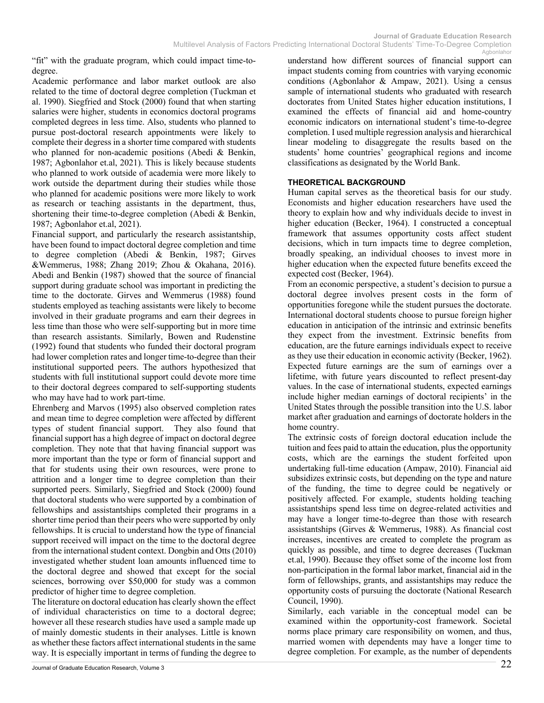"fit" with the graduate program, which could impact time-todegree.

Academic performance and labor market outlook are also related to the time of doctoral degree completion (Tuckman et al. 1990). Siegfried and Stock (2000) found that when starting salaries were higher, students in economics doctoral programs completed degrees in less time. Also, students who planned to pursue post-doctoral research appointments were likely to complete their degress in a shorter time compared with students who planned for non-academic positions (Abedi & Benkin, 1987; Agbonlahor et.al, 2021). This is likely because students who planned to work outside of academia were more likely to work outside the department during their studies while those who planned for academic positions were more likely to work as research or teaching assistants in the department, thus, shortening their time-to-degree completion (Abedi & Benkin, 1987; Agbonlahor et.al, 2021).

Financial support, and particularly the research assistantship, have been found to impact doctoral degree completion and time to degree completion (Abedi & Benkin, 1987; Girves &Wemmerus, 1988; Zhang 2019; Zhou & Okahana, 2016). Abedi and Benkin (1987) showed that the source of financial support during graduate school was important in predicting the time to the doctorate. Girves and Wemmerus (1988) found students employed as teaching assistants were likely to become involved in their graduate programs and earn their degrees in less time than those who were self-supporting but in more time than research assistants. Similarly, Bowen and Rudenstine (1992) found that students who funded their doctoral program had lower completion rates and longer time-to-degree than their institutional supported peers. The authors hypothesized that students with full institutional support could devote more time to their doctoral degrees compared to self-supporting students who may have had to work part-time.

Ehrenberg and Marvos (1995) also observed completion rates and mean time to degree completion were affected by different types of student financial support. They also found that financial support has a high degree of impact on doctoral degree completion. They note that that having financial support was more important than the type or form of financial support and that for students using their own resources, were prone to attrition and a longer time to degree completion than their supported peers. Similarly, Siegfried and Stock (2000) found that doctoral students who were supported by a combination of fellowships and assistantships completed their programs in a shorter time period than their peers who were supported by only fellowships. It is crucial to understand how the type of financial support received will impact on the time to the doctoral degree from the international student context. Dongbin and Otts (2010) investigated whether student loan amounts influenced time to the doctoral degree and showed that except for the social sciences, borrowing over \$50,000 for study was a common predictor of higher time to degree completion.

The literature on doctoral education has clearly shown the effect of individual characteristics on time to a doctoral degree; however all these research studies have used a sample made up of mainly domestic students in their analyses. Little is known as whether these factors affect international students in the same way. It is especially important in terms of funding the degree to

Journal of Graduate Education Research, Volume 3  $\hspace{1.5cm}22$ 

understand how different sources of financial support can impact students coming from countries with varying economic conditions (Agbonlahor & Ampaw, 2021). Using a census sample of international students who graduated with research doctorates from United States higher education institutions, I examined the effects of financial aid and home-country economic indicators on international student's time-to-degree completion. I used multiple regression analysis and hierarchical linear modeling to disaggregate the results based on the students' home countries' geographical regions and income classifications as designated by the World Bank.

#### **THEORETICAL BACKGROUND**

Human capital serves as the theoretical basis for our study. Economists and higher education researchers have used the theory to explain how and why individuals decide to invest in higher education (Becker, 1964). I constructed a conceptual framework that assumes opportunity costs affect student decisions, which in turn impacts time to degree completion, broadly speaking, an individual chooses to invest more in higher education when the expected future benefits exceed the expected cost (Becker, 1964).

From an economic perspective, a student's decision to pursue a doctoral degree involves present costs in the form of opportunities foregone while the student pursues the doctorate. International doctoral students choose to pursue foreign higher education in anticipation of the intrinsic and extrinsic benefits they expect from the investment. Extrinsic benefits from education, are the future earnings individuals expect to receive as they use their education in economic activity (Becker, 1962). Expected future earnings are the sum of earnings over a lifetime, with future years discounted to reflect present-day values. In the case of international students, expected earnings include higher median earnings of doctoral recipients' in the United States through the possible transition into the U.S. labor market after graduation and earnings of doctorate holders in the home country.

The extrinsic costs of foreign doctoral education include the tuition and fees paid to attain the education, plus the opportunity costs, which are the earnings the student forfeited upon undertaking full-time education (Ampaw, 2010). Financial aid subsidizes extrinsic costs, but depending on the type and nature of the funding, the time to degree could be negatively or positively affected. For example, students holding teaching assistantships spend less time on degree-related activities and may have a longer time-to-degree than those with research assistantships (Girves & Wemmerus, 1988). As financial cost increases, incentives are created to complete the program as quickly as possible, and time to degree decreases (Tuckman et.al, 1990). Because they offset some of the income lost from non-participation in the formal labor market, financial aid in the form of fellowships, grants, and assistantships may reduce the opportunity costs of pursuing the doctorate (National Research Council, 1990).

Similarly, each variable in the conceptual model can be examined within the opportunity-cost framework. Societal norms place primary care responsibility on women, and thus, married women with dependents may have a longer time to degree completion. For example, as the number of dependents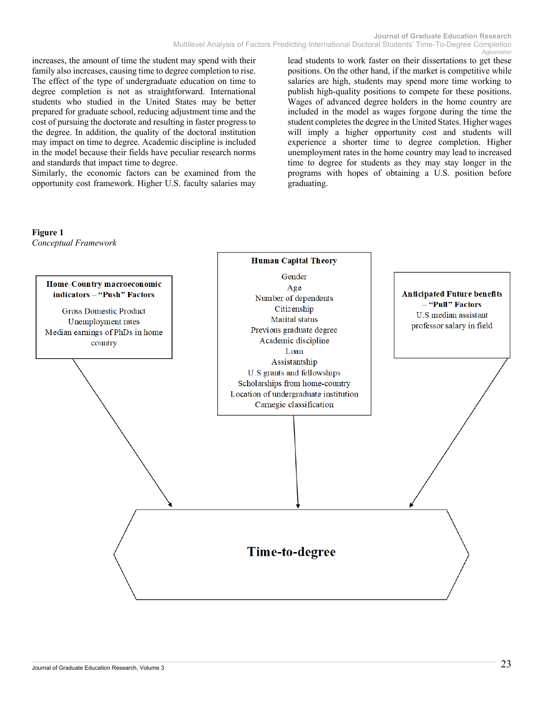increases, the amount of time the student may spend with their family also increases, causing time to degree completion to rise. The effect of the type of undergraduate education on time to degree completion is not as straightforward. International students who studied in the United States may be better prepared for graduate school, reducing adjustment time and the cost of pursuing the doctorate and resulting in faster progress to the degree. In addition, the quality of the doctoral institution may impact on time to degree. Academic discipline is included in the model because their fields have peculiar research norms and standards that impact time to degree.

Similarly, the economic factors can be examined from the opportunity cost framework. Higher U.S. faculty salaries may

lead students to work faster on their dissertations to get these positions. On the other hand, if the market is competitive while salaries are high, students may spend more time working to publish high-quality positions to compete for these positions. Wages of advanced degree holders in the home country are included in the model as wages forgone during the time the student completes the degree in the United States. Higher wages will imply a higher opportunity cost and students will experience a shorter time to degree completion. Higher unemployment rates in the home country may lead to increased time to degree for students as they may stay longer in the programs with hopes of obtaining a U.S. position before graduating.



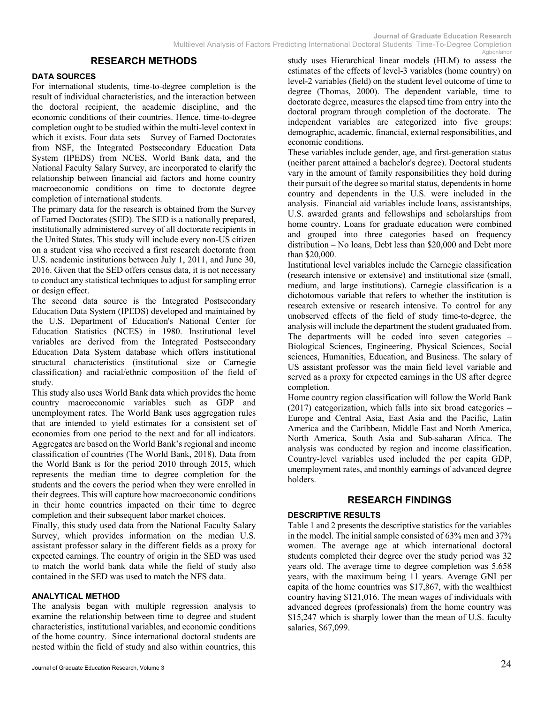#### **RESEARCH METHODS**

#### **DATA SOURCES**

For international students, time-to-degree completion is the result of individual characteristics, and the interaction between the doctoral recipient, the academic discipline, and the economic conditions of their countries. Hence, time-to-degree completion ought to be studied within the multi-level context in which it exists. Four data sets – Survey of Earned Doctorates from NSF, the Integrated Postsecondary Education Data System (IPEDS) from NCES, World Bank data, and the National Faculty Salary Survey, are incorporated to clarify the relationship between financial aid factors and home country macroeconomic conditions on time to doctorate degree completion of international students.

The primary data for the research is obtained from the Survey of Earned Doctorates (SED). The SED is a nationally prepared, institutionally administered survey of all doctorate recipients in the United States. This study will include every non-US citizen on a student visa who received a first research doctorate from U.S. academic institutions between July 1, 2011, and June 30, 2016. Given that the SED offers census data, it is not necessary to conduct any statistical techniques to adjust for sampling error or design effect.

The second data source is the Integrated Postsecondary Education Data System (IPEDS) developed and maintained by the U.S. Department of Education's National Center for Education Statistics (NCES) in 1980. Institutional level variables are derived from the Integrated Postsecondary Education Data System database which offers institutional structural characteristics (institutional size or Carnegie classification) and racial/ethnic composition of the field of study.

This study also uses World Bank data which provides the home country macroeconomic variables such as GDP and unemployment rates. The World Bank uses aggregation rules that are intended to yield estimates for a consistent set of economies from one period to the next and for all indicators. Aggregates are based on the World Bank's regional and income classification of countries (The World Bank, 2018). Data from the World Bank is for the period 2010 through 2015, which represents the median time to degree completion for the students and the covers the period when they were enrolled in their degrees. This will capture how macroeconomic conditions in their home countries impacted on their time to degree completion and their subsequent labor market choices.

Finally, this study used data from the National Faculty Salary Survey, which provides information on the median U.S. assistant professor salary in the different fields as a proxy for expected earnings. The country of origin in the SED was used to match the world bank data while the field of study also contained in the SED was used to match the NFS data.

#### **ANALYTICAL METHOD**

The analysis began with multiple regression analysis to examine the relationship between time to degree and student characteristics, institutional variables, and economic conditions of the home country. Since international doctoral students are nested within the field of study and also within countries, this

study uses Hierarchical linear models (HLM) to assess the estimates of the effects of level-3 variables (home country) on level-2 variables (field) on the student level outcome of time to degree (Thomas, 2000). The dependent variable, time to doctorate degree, measures the elapsed time from entry into the doctoral program through completion of the doctorate. The independent variables are categorized into five groups: demographic, academic, financial, external responsibilities, and economic conditions.

These variables include gender, age, and first-generation status (neither parent attained a bachelor's degree). Doctoral students vary in the amount of family responsibilities they hold during their pursuit of the degree so marital status, dependents in home country and dependents in the U.S. were included in the analysis. Financial aid variables include loans, assistantships, U.S. awarded grants and fellowships and scholarships from home country. Loans for graduate education were combined and grouped into three categories based on frequency distribution – No loans, Debt less than \$20,000 and Debt more than \$20,000.

Institutional level variables include the Carnegie classification (research intensive or extensive) and institutional size (small, medium, and large institutions). Carnegie classification is a dichotomous variable that refers to whether the institution is research extensive or research intensive. To control for any unobserved effects of the field of study time-to-degree, the analysis will include the department the student graduated from. The departments will be coded into seven categories – Biological Sciences, Engineering, Physical Sciences, Social sciences, Humanities, Education, and Business. The salary of US assistant professor was the main field level variable and served as a proxy for expected earnings in the US after degree completion.

Home country region classification will follow the World Bank  $(2017)$  categorization, which falls into six broad categories – Europe and Central Asia, East Asia and the Pacific, Latin America and the Caribbean, Middle East and North America, North America, South Asia and Sub-saharan Africa. The analysis was conducted by region and income classification. Country-level variables used included the per capita GDP, unemployment rates, and monthly earnings of advanced degree holders.

#### **RESEARCH FINDINGS**

#### **DESCRIPTIVE RESULTS**

Table 1 and 2 presents the descriptive statistics for the variables in the model. The initial sample consisted of 63% men and 37% women. The average age at which international doctoral students completed their degree over the study period was 32 years old. The average time to degree completion was 5.658 years, with the maximum being 11 years. Average GNI per capita of the home countries was \$17,867, with the wealthiest country having \$121,016. The mean wages of individuals with advanced degrees (professionals) from the home country was \$15,247 which is sharply lower than the mean of U.S. faculty salaries, \$67,099.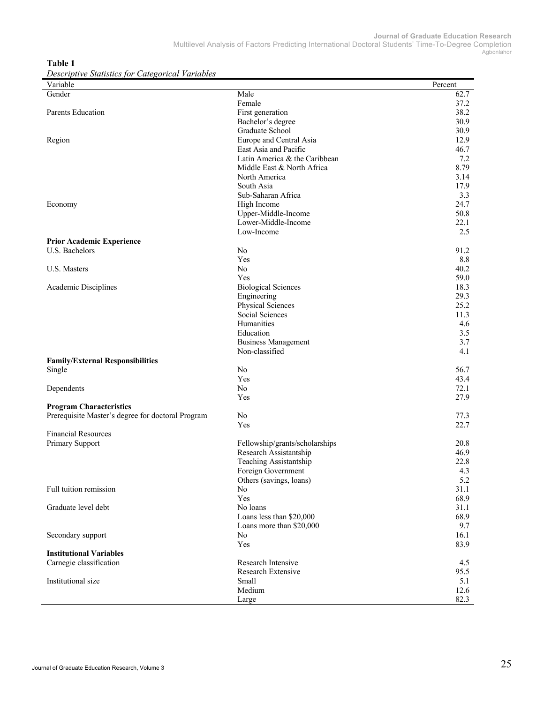**Table 1**

*Descriptive Statistics for Categorical Variables*

| Variable                                          |                                              | Percent    |
|---------------------------------------------------|----------------------------------------------|------------|
| Gender                                            | Male                                         | 62.7       |
|                                                   | Female                                       | 37.2       |
| Parents Education                                 | First generation                             | 38.2       |
|                                                   | Bachelor's degree                            | 30.9       |
|                                                   | Graduate School                              | 30.9       |
| Region                                            | Europe and Central Asia                      | 12.9       |
|                                                   | East Asia and Pacific                        | 46.7       |
|                                                   | Latin America & the Caribbean                | 7.2        |
|                                                   | Middle East & North Africa                   | 8.79       |
|                                                   | North America                                | 3.14       |
|                                                   | South Asia                                   | 17.9       |
|                                                   | Sub-Saharan Africa                           | 3.3        |
| Economy                                           | High Income                                  | 24.7       |
|                                                   | Upper-Middle-Income                          | 50.8       |
|                                                   | Lower-Middle-Income                          | 22.1       |
|                                                   | Low-Income                                   | 2.5        |
| <b>Prior Academic Experience</b>                  |                                              |            |
| U.S. Bachelors                                    | No                                           | 91.2       |
|                                                   | Yes                                          | 8.8        |
| U.S. Masters                                      | N <sub>o</sub>                               | 40.2       |
|                                                   | Yes                                          | 59.0       |
| Academic Disciplines                              | <b>Biological Sciences</b>                   | 18.3       |
|                                                   | Engineering                                  | 29.3       |
|                                                   | Physical Sciences                            | 25.2       |
|                                                   | Social Sciences                              | 11.3       |
|                                                   | Humanities                                   | 4.6        |
|                                                   | Education                                    | 3.5<br>3.7 |
|                                                   | <b>Business Management</b><br>Non-classified | 4.1        |
| <b>Family/External Responsibilities</b>           |                                              |            |
| Single                                            | No                                           | 56.7       |
|                                                   | Yes                                          | 43.4       |
| Dependents                                        | No                                           | 72.1       |
|                                                   | Yes                                          | 27.9       |
| <b>Program Characteristics</b>                    |                                              |            |
| Prerequisite Master's degree for doctoral Program | No                                           | 77.3       |
|                                                   | Yes                                          | 22.7       |
| <b>Financial Resources</b>                        |                                              |            |
| Primary Support                                   | Fellowship/grants/scholarships               | 20.8       |
|                                                   | Research Assistantship                       | 46.9       |
|                                                   | Teaching Assistantship                       | 22.8       |
|                                                   | Foreign Government                           | 4.3        |
|                                                   | Others (savings, loans)                      | 5.2        |
| Full tuition remission                            | No                                           | 31.1       |
|                                                   | Yes                                          | 68.9       |
| Graduate level debt                               | No loans                                     | 31.1       |
|                                                   | Loans less than \$20,000                     | 68.9       |
|                                                   | Loans more than \$20,000                     | 9.7        |
| Secondary support                                 | No                                           | 16.1       |
|                                                   | Yes                                          | 83.9       |
| <b>Institutional Variables</b>                    |                                              |            |
| Carnegie classification                           | Research Intensive                           | 4.5        |
|                                                   | Research Extensive                           | 95.5       |
| Institutional size                                | Small                                        | 5.1        |
|                                                   | Medium                                       | 12.6       |
|                                                   | Large                                        | 82.3       |

 $\overline{a}$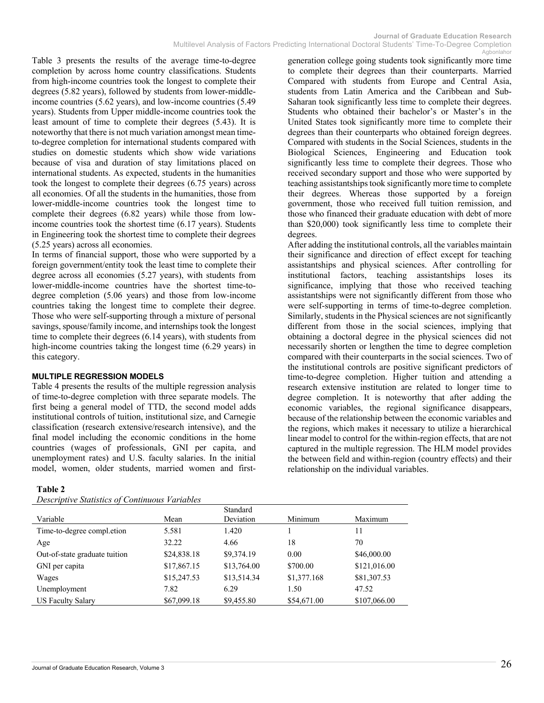Table 3 presents the results of the average time-to-degree completion by across home country classifications. Students from high-income countries took the longest to complete their degrees (5.82 years), followed by students from lower-middleincome countries (5.62 years), and low-income countries (5.49 years). Students from Upper middle-income countries took the least amount of time to complete their degrees (5.43). It is noteworthy that there is not much variation amongst mean timeto-degree completion for international students compared with studies on domestic students which show wide variations because of visa and duration of stay limitations placed on international students. As expected, students in the humanities took the longest to complete their degrees (6.75 years) across all economies. Of all the students in the humanities, those from lower-middle-income countries took the longest time to complete their degrees (6.82 years) while those from lowincome countries took the shortest time (6.17 years). Students in Engineering took the shortest time to complete their degrees (5.25 years) across all economies.

In terms of financial support, those who were supported by a foreign government/entity took the least time to complete their degree across all economies (5.27 years), with students from lower-middle-income countries have the shortest time-todegree completion (5.06 years) and those from low-income countries taking the longest time to complete their degree. Those who were self-supporting through a mixture of personal savings, spouse/family income, and internships took the longest time to complete their degrees (6.14 years), with students from high-income countries taking the longest time (6.29 years) in this category.

#### **MULTIPLE REGRESSION MODELS**

Table 4 presents the results of the multiple regression analysis of time-to-degree completion with three separate models. The first being a general model of TTD, the second model adds institutional controls of tuition, institutional size, and Carnegie classification (research extensive/research intensive), and the final model including the economic conditions in the home countries (wages of professionals, GNI per capita, and unemployment rates) and U.S. faculty salaries. In the initial model, women, older students, married women and first-

#### **Table 2**

*Descriptive Statistics of Continuous Variables*

generation college going students took significantly more time to complete their degrees than their counterparts. Married Compared with students from Europe and Central Asia, students from Latin America and the Caribbean and Sub-Saharan took significantly less time to complete their degrees. Students who obtained their bachelor's or Master's in the United States took significantly more time to complete their degrees than their counterparts who obtained foreign degrees. Compared with students in the Social Sciences, students in the Biological Sciences, Engineering and Education took significantly less time to complete their degrees. Those who received secondary support and those who were supported by teaching assistantships took significantly more time to complete their degrees. Whereas those supported by a foreign government, those who received full tuition remission, and those who financed their graduate education with debt of more than \$20,000) took significantly less time to complete their degrees.

After adding the institutional controls, all the variables maintain their significance and direction of effect except for teaching assistantships and physical sciences. After controlling for institutional factors, teaching assistantships loses its significance, implying that those who received teaching assistantships were not significantly different from those who were self-supporting in terms of time-to-degree completion. Similarly, students in the Physical sciences are not significantly different from those in the social sciences, implying that obtaining a doctoral degree in the physical sciences did not necessarily shorten or lengthen the time to degree completion compared with their counterparts in the social sciences. Two of the institutional controls are positive significant predictors of time-to-degree completion. Higher tuition and attending a research extensive institution are related to longer time to degree completion. It is noteworthy that after adding the economic variables, the regional significance disappears, because of the relationship between the economic variables and the regions, which makes it necessary to utilize a hierarchical linear model to control for the within-region effects, that are not captured in the multiple regression. The HLM model provides the between field and within-region (country effects) and their relationship on the individual variables.

|                               |             | Standard    |             |              |
|-------------------------------|-------------|-------------|-------------|--------------|
| Variable                      | Mean        | Deviation   | Minimum     | Maximum      |
| Time-to-degree compl.etion    | 5.581       | 1.420       |             | 11           |
| Age                           | 32.22       | 4.66        | 18          | 70           |
| Out-of-state graduate tuition | \$24,838.18 | \$9,374.19  | 0.00        | \$46,000.00  |
| GNI per capita                | \$17,867.15 | \$13,764.00 | \$700.00    | \$121,016.00 |
| Wages                         | \$15,247.53 | \$13,514.34 | \$1,377.168 | \$81,307.53  |
| Unemployment                  | 7.82        | 6.29        | 1.50        | 47.52        |
| <b>US Faculty Salary</b>      | \$67,099.18 | \$9,455.80  | \$54,671.00 | \$107,066.00 |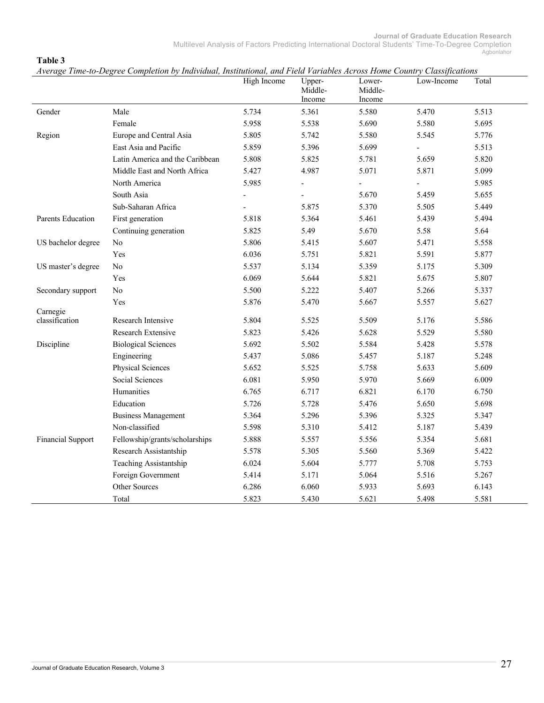|                          | Average Time-to-Degree Completion by Individual, Institutional, and Field Particules Across Home Country Classifications | High Income | Upper-<br>Middle-<br>Income | Lower-<br>Middle-<br>Income | Low-Income     | Total |
|--------------------------|--------------------------------------------------------------------------------------------------------------------------|-------------|-----------------------------|-----------------------------|----------------|-------|
| Gender                   | Male                                                                                                                     | 5.734       | 5.361                       | 5.580                       | 5.470          | 5.513 |
|                          | Female                                                                                                                   | 5.958       | 5.538                       | 5.690                       | 5.580          | 5.695 |
| Region                   | Europe and Central Asia                                                                                                  | 5.805       | 5.742                       | 5.580                       | 5.545          | 5.776 |
|                          | East Asia and Pacific                                                                                                    | 5.859       | 5.396                       | 5.699                       | $\overline{a}$ | 5.513 |
|                          | Latin America and the Caribbean                                                                                          | 5.808       | 5.825                       | 5.781                       | 5.659          | 5.820 |
|                          | Middle East and North Africa                                                                                             | 5.427       | 4.987                       | 5.071                       | 5.871          | 5.099 |
|                          | North America                                                                                                            | 5.985       |                             |                             |                | 5.985 |
|                          | South Asia                                                                                                               |             |                             | 5.670                       | 5.459          | 5.655 |
|                          | Sub-Saharan Africa                                                                                                       |             | 5.875                       | 5.370                       | 5.505          | 5.449 |
| Parents Education        | First generation                                                                                                         | 5.818       | 5.364                       | 5.461                       | 5.439          | 5.494 |
|                          | Continuing generation                                                                                                    | 5.825       | 5.49                        | 5.670                       | 5.58           | 5.64  |
| US bachelor degree       | No                                                                                                                       | 5.806       | 5.415                       | 5.607                       | 5.471          | 5.558 |
|                          | Yes                                                                                                                      | 6.036       | 5.751                       | 5.821                       | 5.591          | 5.877 |
| US master's degree       | No                                                                                                                       | 5.537       | 5.134                       | 5.359                       | 5.175          | 5.309 |
|                          | Yes                                                                                                                      | 6.069       | 5.644                       | 5.821                       | 5.675          | 5.807 |
| Secondary support        | No                                                                                                                       | 5.500       | 5.222                       | 5.407                       | 5.266          | 5.337 |
|                          | Yes                                                                                                                      | 5.876       | 5.470                       | 5.667                       | 5.557          | 5.627 |
| Carnegie                 |                                                                                                                          |             |                             |                             |                |       |
| classification           | Research Intensive                                                                                                       | 5.804       | 5.525                       | 5.509                       | 5.176          | 5.586 |
|                          | Research Extensive                                                                                                       | 5.823       | 5.426                       | 5.628                       | 5.529          | 5.580 |
| Discipline               | <b>Biological Sciences</b>                                                                                               | 5.692       | 5.502                       | 5.584                       | 5.428          | 5.578 |
|                          | Engineering                                                                                                              | 5.437       | 5.086                       | 5.457                       | 5.187          | 5.248 |
|                          | Physical Sciences                                                                                                        | 5.652       | 5.525                       | 5.758                       | 5.633          | 5.609 |
|                          | Social Sciences                                                                                                          | 6.081       | 5.950                       | 5.970                       | 5.669          | 6.009 |
|                          | Humanities                                                                                                               | 6.765       | 6.717                       | 6.821                       | 6.170          | 6.750 |
|                          | Education                                                                                                                | 5.726       | 5.728                       | 5.476                       | 5.650          | 5.698 |
|                          | <b>Business Management</b>                                                                                               | 5.364       | 5.296                       | 5.396                       | 5.325          | 5.347 |
|                          | Non-classified                                                                                                           | 5.598       | 5.310                       | 5.412                       | 5.187          | 5.439 |
| <b>Financial Support</b> | Fellowship/grants/scholarships                                                                                           | 5.888       | 5.557                       | 5.556                       | 5.354          | 5.681 |
|                          | Research Assistantship                                                                                                   | 5.578       | 5.305                       | 5.560                       | 5.369          | 5.422 |
|                          | Teaching Assistantship                                                                                                   | 6.024       | 5.604                       | 5.777                       | 5.708          | 5.753 |
|                          | Foreign Government                                                                                                       | 5.414       | 5.171                       | 5.064                       | 5.516          | 5.267 |
|                          | Other Sources                                                                                                            | 6.286       | 6.060                       | 5.933                       | 5.693          | 6.143 |
|                          | Total                                                                                                                    | 5.823       | 5.430                       | 5.621                       | 5.498          | 5.581 |

*Average Time-to-Degree Completion by Individual, Institutional, and Field Variables Across Home Country Classifications*

**Table 3**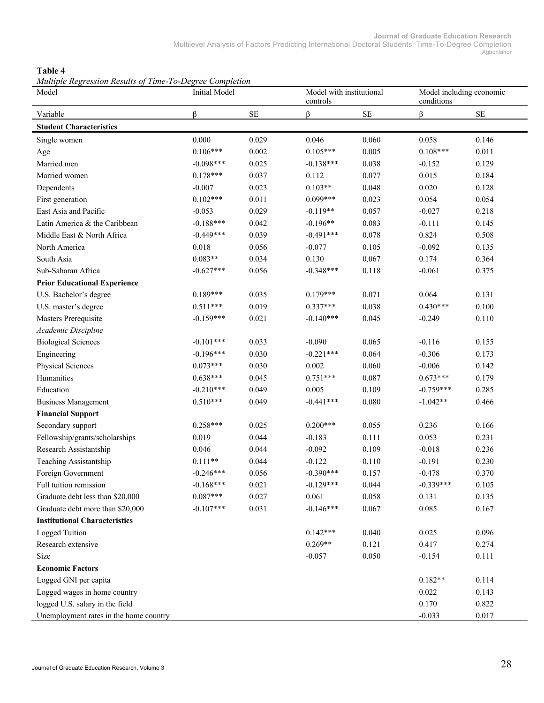**Journal of Graduate Education Research** Multilevel Analysis of Factors Predicting International Doctoral Students' Time-To-Degree Completion Agbonlahor

#### **Table 4**

*Multiple Regression Results of Time-To-Degree Completion*

| <i>Muttiple Regression Results of Time-To-Degree Completion</i><br>Model | <b>Initial Model</b> |          | controls    | Model with institutional |             | Model including economic<br>conditions |  |
|--------------------------------------------------------------------------|----------------------|----------|-------------|--------------------------|-------------|----------------------------------------|--|
| Variable                                                                 | ß                    | $\rm SE$ | ß           | $\rm SE$                 | ß           | $\rm SE$                               |  |
| <b>Student Characteristics</b>                                           |                      |          |             |                          |             |                                        |  |
| Single women                                                             | 0.000                | 0.029    | 0.046       | 0.060                    | 0.058       | 0.146                                  |  |
| Age                                                                      | $0.106***$           | 0.002    | $0.105***$  | 0.005                    | $0.108***$  | 0.011                                  |  |
| Married men                                                              | $-0.098***$          | 0.025    | $-0.138***$ | 0.038                    | $-0.152$    | 0.129                                  |  |
| Married women                                                            | $0.178***$           | 0.037    | 0.112       | 0.077                    | 0.015       | 0.184                                  |  |
| Dependents                                                               | $-0.007$             | 0.023    | $0.103**$   | 0.048                    | 0.020       | 0.128                                  |  |
| First generation                                                         | $0.102***$           | 0.011    | $0.099***$  | 0.023                    | 0.054       | 0.054                                  |  |
| East Asia and Pacific                                                    | $-0.053$             | 0.029    | $-0.119**$  | 0.057                    | $-0.027$    | 0.218                                  |  |
| Latin America & the Caribbean                                            | $-0.188***$          | 0.042    | $-0.196**$  | 0.083                    | $-0.111$    | 0.145                                  |  |
| Middle East & North Africa                                               | $-0.449***$          | 0.039    | $-0.491***$ | 0.078                    | 0.824       | 0.508                                  |  |
| North America                                                            | 0.018                | 0.056    | $-0.077$    | 0.105                    | $-0.092$    | 0.135                                  |  |
| South Asia                                                               | $0.083**$            | 0.034    | 0.130       | 0.067                    | 0.174       | 0.364                                  |  |
| Sub-Saharan Africa                                                       | $-0.627***$          | 0.056    | $-0.348***$ | 0.118                    | $-0.061$    | 0.375                                  |  |
| <b>Prior Educational Experience</b>                                      |                      |          |             |                          |             |                                        |  |
| U.S. Bachelor's degree                                                   | $0.189***$           | 0.035    | $0.179***$  | 0.071                    | 0.064       | 0.131                                  |  |
| U.S. master's degree                                                     | $0.511***$           | 0.019    | $0.337***$  | 0.038                    | $0.430***$  | 0.100                                  |  |
| Masters Prerequisite                                                     | $-0.159***$          | 0.021    | $-0.140***$ | 0.045                    | $-0.249$    | 0.110                                  |  |
| Academic Discipline                                                      |                      |          |             |                          |             |                                        |  |
| <b>Biological Sciences</b>                                               | $-0.101***$          | 0.033    | $-0.090$    | 0.065                    | $-0.116$    | 0.155                                  |  |
| Engineering                                                              | $-0.196***$          | 0.030    | $-0.221***$ | 0.064                    | $-0.306$    | 0.173                                  |  |
| Physical Sciences                                                        | $0.073***$           | 0.030    | 0.002       | 0.060                    | $-0.006$    | 0.142                                  |  |
| Humanities                                                               | $0.638***$           | 0.045    | $0.751***$  | 0.087                    | $0.673***$  | 0.179                                  |  |
| Education                                                                | $-0.210***$          | 0.049    | 0.005       | 0.109                    | $-0.759***$ | 0.285                                  |  |
| <b>Business Management</b>                                               | $0.510***$           | 0.049    | $-0.441***$ | 0.080                    | $-1.042**$  | 0.466                                  |  |
| <b>Financial Support</b>                                                 |                      |          |             |                          |             |                                        |  |
| Secondary support                                                        | $0.258***$           | 0.025    | $0.200***$  | 0.055                    | 0.236       | 0.166                                  |  |
| Fellowship/grants/scholarships                                           | 0.019                | 0.044    | $-0.183$    | 0.111                    | 0.053       | 0.231                                  |  |
| Research Assistantship                                                   | 0.046                | 0.044    | $-0.092$    | 0.109                    | $-0.018$    | 0.236                                  |  |
| Teaching Assistantship                                                   | $0.111**$            | 0.044    | $-0.122$    | 0.110                    | $-0.191$    | 0.230                                  |  |
| Foreign Government                                                       | $-0.246***$          | 0.056    | $-0.390***$ | 0.157                    | $-0.478$    | 0.370                                  |  |
| Full tuition remission                                                   | $-0.168***$          | 0.021    | $-0.129***$ | 0.044                    | $-0.339***$ | 0.105                                  |  |
| Graduate debt less than \$20,000                                         | $0.087***$           | 0.027    | 0.061       | 0.058                    | 0.131       | 0.135                                  |  |
| Graduate debt more than \$20,000                                         | $-0.107***$          | 0.031    | $-0.146***$ | 0.067                    | 0.085       | 0.167                                  |  |
| <b>Institutional Characteristics</b>                                     |                      |          |             |                          |             |                                        |  |
| Logged Tuition                                                           |                      |          | $0.142***$  | 0.040                    | 0.025       | 0.096                                  |  |
| Research extensive                                                       |                      |          | $0.269**$   | 0.121                    | 0.417       | 0.274                                  |  |
| Size                                                                     |                      |          | $-0.057$    | 0.050                    | $-0.154$    | 0.111                                  |  |
| <b>Economic Factors</b>                                                  |                      |          |             |                          |             |                                        |  |
| Logged GNI per capita                                                    |                      |          |             |                          | $0.182**$   | 0.114                                  |  |
| Logged wages in home country                                             |                      |          |             |                          | 0.022       | 0.143                                  |  |
| logged U.S. salary in the field                                          |                      |          |             |                          | 0.170       | 0.822                                  |  |
| Unemployment rates in the home country                                   |                      |          |             |                          | $-0.033$    | 0.017                                  |  |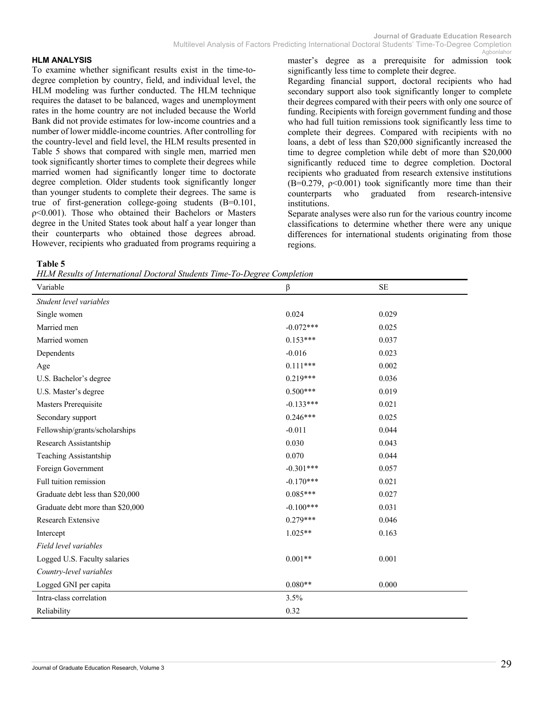#### **HLM ANALYSIS**

To examine whether significant results exist in the time-todegree completion by country, field, and individual level, the HLM modeling was further conducted. The HLM technique requires the dataset to be balanced, wages and unemployment rates in the home country are not included because the World Bank did not provide estimates for low-income countries and a number of lower middle-income countries. After controlling for the country-level and field level, the HLM results presented in Table 5 shows that compared with single men, married men took significantly shorter times to complete their degrees while married women had significantly longer time to doctorate degree completion. Older students took significantly longer than younger students to complete their degrees. The same is true of first-generation college-going students (B=0.101, ρ<0.001). Those who obtained their Bachelors or Masters degree in the United States took about half a year longer than their counterparts who obtained those degrees abroad. However, recipients who graduated from programs requiring a

master's degree as a prerequisite for admission took significantly less time to complete their degree.

Regarding financial support, doctoral recipients who had secondary support also took significantly longer to complete their degrees compared with their peers with only one source of funding. Recipients with foreign government funding and those who had full tuition remissions took significantly less time to complete their degrees. Compared with recipients with no loans, a debt of less than \$20,000 significantly increased the time to degree completion while debt of more than \$20,000 significantly reduced time to degree completion. Doctoral recipients who graduated from research extensive institutions  $(B=0.279, p<0.001)$  took significantly more time than their counterparts who graduated from research-intensive institutions.

Separate analyses were also run for the various country income classifications to determine whether there were any unique differences for international students originating from those regions.

#### **Table 5**

*HLM Results of International Doctoral Students Time-To-Degree Completion*

| Variable                         | $\beta$     | <b>SE</b> |
|----------------------------------|-------------|-----------|
| Student level variables          |             |           |
| Single women                     | 0.024       | 0.029     |
| Married men                      | $-0.072***$ | 0.025     |
| Married women                    | $0.153***$  | 0.037     |
| Dependents                       | $-0.016$    | 0.023     |
| Age                              | $0.111***$  | 0.002     |
| U.S. Bachelor's degree           | $0.219***$  | 0.036     |
| U.S. Master's degree             | $0.500***$  | 0.019     |
| Masters Prerequisite             | $-0.133***$ | 0.021     |
| Secondary support                | $0.246***$  | 0.025     |
| Fellowship/grants/scholarships   | $-0.011$    | 0.044     |
| Research Assistantship           | 0.030       | 0.043     |
| Teaching Assistantship           | 0.070       | 0.044     |
| Foreign Government               | $-0.301***$ | 0.057     |
| Full tuition remission           | $-0.170***$ | 0.021     |
| Graduate debt less than \$20,000 | $0.085***$  | 0.027     |
| Graduate debt more than \$20,000 | $-0.100***$ | 0.031     |
| Research Extensive               | $0.279***$  | 0.046     |
| Intercept                        | $1.025**$   | 0.163     |
| Field level variables            |             |           |
| Logged U.S. Faculty salaries     | $0.001**$   | 0.001     |
| Country-level variables          |             |           |
| Logged GNI per capita            | $0.080**$   | 0.000     |
| Intra-class correlation          | 3.5%        |           |
| Reliability                      | 0.32        |           |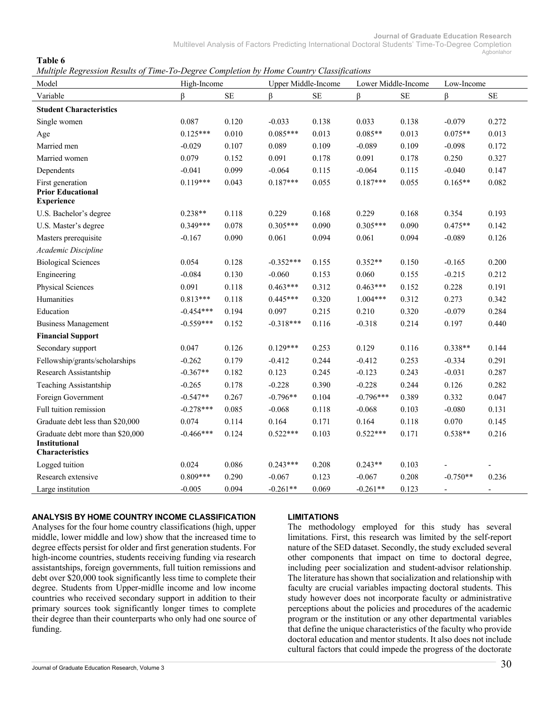#### **Table 6**

*Multiple Regression Results of Time-To-Degree Completion by Home Country Classifications*

| Model                                                                       | High-Income |          | <b>Upper Middle-Income</b> |           | Lower Middle-Income |          | Low-Income               |                          |
|-----------------------------------------------------------------------------|-------------|----------|----------------------------|-----------|---------------------|----------|--------------------------|--------------------------|
| Variable                                                                    | ß           | $\rm SE$ | ß                          | <b>SE</b> | β                   | $\rm SE$ | ß                        | $\rm SE$                 |
| <b>Student Characteristics</b>                                              |             |          |                            |           |                     |          |                          |                          |
| Single women                                                                | 0.087       | 0.120    | $-0.033$                   | 0.138     | 0.033               | 0.138    | $-0.079$                 | 0.272                    |
| Age                                                                         | $0.125***$  | 0.010    | $0.085***$                 | 0.013     | $0.085**$           | 0.013    | $0.075**$                | 0.013                    |
| Married men                                                                 | $-0.029$    | 0.107    | 0.089                      | 0.109     | $-0.089$            | 0.109    | $-0.098$                 | 0.172                    |
| Married women                                                               | 0.079       | 0.152    | 0.091                      | 0.178     | 0.091               | 0.178    | 0.250                    | 0.327                    |
| Dependents                                                                  | $-0.041$    | 0.099    | $-0.064$                   | 0.115     | $-0.064$            | 0.115    | $-0.040$                 | 0.147                    |
| First generation<br><b>Prior Educational</b><br><b>Experience</b>           | $0.119***$  | 0.043    | $0.187***$                 | 0.055     | $0.187***$          | 0.055    | $0.165**$                | 0.082                    |
| U.S. Bachelor's degree                                                      | $0.238**$   | 0.118    | 0.229                      | 0.168     | 0.229               | 0.168    | 0.354                    | 0.193                    |
| U.S. Master's degree                                                        | $0.349***$  | 0.078    | $0.305***$                 | 0.090     | $0.305***$          | 0.090    | $0.475**$                | 0.142                    |
| Masters prerequisite                                                        | $-0.167$    | 0.090    | 0.061                      | 0.094     | 0.061               | 0.094    | $-0.089$                 | 0.126                    |
| Academic Discipline                                                         |             |          |                            |           |                     |          |                          |                          |
| <b>Biological Sciences</b>                                                  | 0.054       | 0.128    | $-0.352***$                | 0.155     | $0.352**$           | 0.150    | $-0.165$                 | 0.200                    |
| Engineering                                                                 | $-0.084$    | 0.130    | $-0.060$                   | 0.153     | 0.060               | 0.155    | $-0.215$                 | 0.212                    |
| Physical Sciences                                                           | 0.091       | 0.118    | $0.463***$                 | 0.312     | $0.463***$          | 0.152    | 0.228                    | 0.191                    |
| Humanities                                                                  | $0.813***$  | 0.118    | $0.445***$                 | 0.320     | $1.004***$          | 0.312    | 0.273                    | 0.342                    |
| Education                                                                   | $-0.454***$ | 0.194    | 0.097                      | 0.215     | 0.210               | 0.320    | $-0.079$                 | 0.284                    |
| <b>Business Management</b>                                                  | $-0.559***$ | 0.152    | $-0.318***$                | 0.116     | $-0.318$            | 0.214    | 0.197                    | 0.440                    |
| <b>Financial Support</b>                                                    |             |          |                            |           |                     |          |                          |                          |
| Secondary support                                                           | 0.047       | 0.126    | $0.129***$                 | 0.253     | 0.129               | 0.116    | $0.338**$                | 0.144                    |
| Fellowship/grants/scholarships                                              | $-0.262$    | 0.179    | $-0.412$                   | 0.244     | $-0.412$            | 0.253    | $-0.334$                 | 0.291                    |
| Research Assistantship                                                      | $-0.367**$  | 0.182    | 0.123                      | 0.245     | $-0.123$            | 0.243    | $-0.031$                 | 0.287                    |
| Teaching Assistantship                                                      | $-0.265$    | 0.178    | $-0.228$                   | 0.390     | $-0.228$            | 0.244    | 0.126                    | 0.282                    |
| Foreign Government                                                          | $-0.547**$  | 0.267    | $-0.796**$                 | 0.104     | $-0.796***$         | 0.389    | 0.332                    | 0.047                    |
| Full tuition remission                                                      | $-0.278***$ | 0.085    | $-0.068$                   | 0.118     | $-0.068$            | 0.103    | $-0.080$                 | 0.131                    |
| Graduate debt less than \$20,000                                            | 0.074       | 0.114    | 0.164                      | 0.171     | 0.164               | 0.118    | 0.070                    | 0.145                    |
| Graduate debt more than \$20,000<br><b>Institutional</b><br>Characteristics | $-0.466***$ | 0.124    | $0.522***$                 | 0.103     | $0.522***$          | 0.171    | $0.538**$                | 0.216                    |
| Logged tuition                                                              | 0.024       | 0.086    | $0.243***$                 | 0.208     | $0.243**$           | 0.103    |                          |                          |
| Research extensive                                                          | $0.809***$  | 0.290    | $-0.067$                   | 0.123     | $-0.067$            | 0.208    | $-0.750**$               | 0.236                    |
| Large institution                                                           | $-0.005$    | 0.094    | $-0.261**$                 | 0.069     | $-0.261**$          | 0.123    | $\overline{\phantom{a}}$ | $\overline{\phantom{a}}$ |

#### **ANALYSIS BY HOME COUNTRY INCOME CLASSIFICATION**

Analyses for the four home country classifications (high, upper middle, lower middle and low) show that the increased time to degree effects persist for older and first generation students. For high-income countries, students receiving funding via research assistantships, foreign governments, full tuition remissions and debt over \$20,000 took significantly less time to complete their degree. Students from Upper-midlle income and low income countries who received secondary support in addition to their primary sources took significantly longer times to complete their degree than their counterparts who only had one source of funding.

#### **LIMITATIONS**

The methodology employed for this study has several limitations. First, this research was limited by the self-report nature of the SED dataset. Secondly, the study excluded several other components that impact on time to doctoral degree, including peer socialization and student-advisor relationship. The literature has shown that socialization and relationship with faculty are crucial variables impacting doctoral students. This study however does not incorporate faculty or administrative perceptions about the policies and procedures of the academic program or the institution or any other departmental variables that define the unique characteristics of the faculty who provide doctoral education and mentor students. It also does not include cultural factors that could impede the progress of the doctorate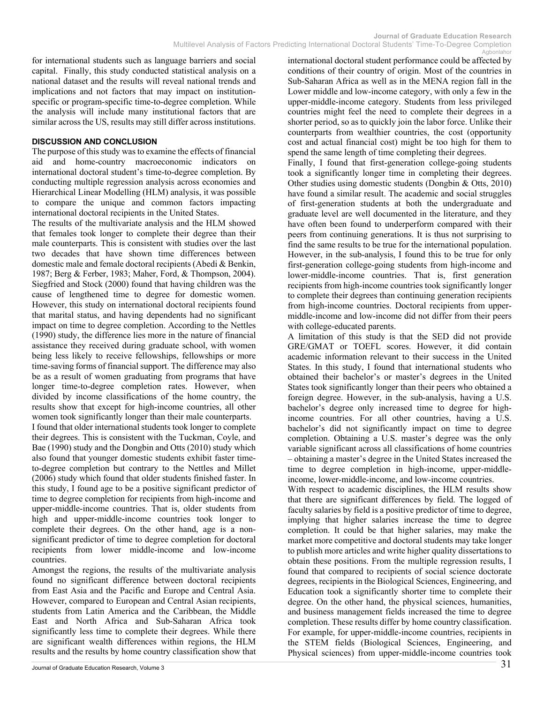for international students such as language barriers and social capital. Finally, this study conducted statistical analysis on a national dataset and the results will reveal national trends and implications and not factors that may impact on institutionspecific or program-specific time-to-degree completion. While the analysis will include many institutional factors that are similar across the US, results may still differ across institutions.

#### **DISCUSSION AND CONCLUSION**

The purpose of this study was to examine the effects of financial aid and home-country macroeconomic indicators on international doctoral student's time-to-degree completion. By conducting multiple regression analysis across economies and Hierarchical Linear Modelling (HLM) analysis, it was possible to compare the unique and common factors impacting international doctoral recipients in the United States.

The results of the multivariate analysis and the HLM showed that females took longer to complete their degree than their male counterparts. This is consistent with studies over the last two decades that have shown time differences between domestic male and female doctoral recipients (Abedi & Benkin, 1987; Berg & Ferber, 1983; Maher, Ford, & Thompson, 2004). Siegfried and Stock (2000) found that having children was the cause of lengthened time to degree for domestic women. However, this study on international doctoral recipients found that marital status, and having dependents had no significant impact on time to degree completion. According to the Nettles (1990) study, the difference lies more in the nature of financial assistance they received during graduate school, with women being less likely to receive fellowships, fellowships or more time-saving forms of financial support. The difference may also be as a result of women graduating from programs that have longer time-to-degree completion rates. However, when divided by income classifications of the home country, the results show that except for high-income countries, all other women took significantly longer than their male counterparts.

I found that older international students took longer to complete their degrees. This is consistent with the Tuckman, Coyle, and Bae (1990) study and the Dongbin and Otts (2010) study which also found that younger domestic students exhibit faster timeto-degree completion but contrary to the Nettles and Millet (2006) study which found that older students finished faster. In this study, I found age to be a positive significant predictor of time to degree completion for recipients from high-income and upper-middle-income countries. That is, older students from high and upper-middle-income countries took longer to complete their degrees. On the other hand, age is a nonsignificant predictor of time to degree completion for doctoral recipients from lower middle-income and low-income countries.

Amongst the regions, the results of the multivariate analysis found no significant difference between doctoral recipients from East Asia and the Pacific and Europe and Central Asia. However, compared to European and Central Asian recipients, students from Latin America and the Caribbean, the Middle East and North Africa and Sub-Saharan Africa took significantly less time to complete their degrees. While there are significant wealth differences within regions, the HLM results and the results by home country classification show that

international doctoral student performance could be affected by conditions of their country of origin. Most of the countries in Sub-Saharan Africa as well as in the MENA region fall in the Lower middle and low-income category, with only a few in the upper-middle-income category. Students from less privileged countries might feel the need to complete their degrees in a shorter period, so as to quickly join the labor force. Unlike their counterparts from wealthier countries, the cost (opportunity cost and actual financial cost) might be too high for them to spend the same length of time completing their degrees.

Finally, I found that first-generation college-going students took a significantly longer time in completing their degrees. Other studies using domestic students (Dongbin & Otts, 2010) have found a similar result. The academic and social struggles of first-generation students at both the undergraduate and graduate level are well documented in the literature, and they have often been found to underperform compared with their peers from continuing generations. It is thus not surprising to find the same results to be true for the international population. However, in the sub-analysis, I found this to be true for only first-generation college-going students from high-income and lower-middle-income countries. That is, first generation recipients from high-income countries took significantly longer to complete their degrees than continuing generation recipients from high-income countries. Doctoral recipients from uppermiddle-income and low-income did not differ from their peers with college-educated parents.

A limitation of this study is that the SED did not provide GRE/GMAT or TOEFL scores. However, it did contain academic information relevant to their success in the United States. In this study, I found that international students who obtained their bachelor's or master's degrees in the United States took significantly longer than their peers who obtained a foreign degree. However, in the sub-analysis, having a U.S. bachelor's degree only increased time to degree for highincome countries. For all other countries, having a U.S. bachelor's did not significantly impact on time to degree completion. Obtaining a U.S. master's degree was the only variable significant across all classifications of home countries – obtaining a master's degree in the United States increased the time to degree completion in high-income, upper-middleincome, lower-middle-income, and low-income countries.

With respect to academic disciplines, the HLM results show that there are significant differences by field. The logged of faculty salaries by field is a positive predictor of time to degree, implying that higher salaries increase the time to degree completion. It could be that higher salaries, may make the market more competitive and doctoral students may take longer to publish more articles and write higher quality dissertations to obtain these positions. From the multiple regression results, I found that compared to recipients of social science doctorate degrees, recipients in the Biological Sciences, Engineering, and Education took a significantly shorter time to complete their degree. On the other hand, the physical sciences, humanities, and business management fields increased the time to degree completion. These results differ by home country classification. For example, for upper-middle-income countries, recipients in the STEM fields (Biological Sciences, Engineering, and Physical sciences) from upper-middle-income countries took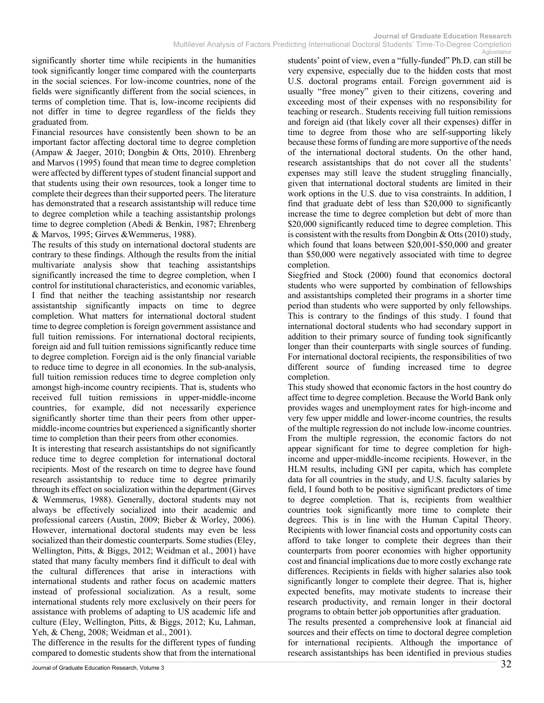significantly shorter time while recipients in the humanities took significantly longer time compared with the counterparts in the social sciences. For low-income countries, none of the fields were significantly different from the social sciences, in terms of completion time. That is, low-income recipients did not differ in time to degree regardless of the fields they graduated from.

Financial resources have consistently been shown to be an important factor affecting doctoral time to degree completion (Ampaw & Jaeger, 2010; Dongbin & Otts, 2010). Ehrenberg and Marvos (1995) found that mean time to degree completion were affected by different types of student financial support and that students using their own resources, took a longer time to complete their degrees than their supported peers. The literature has demonstrated that a research assistantship will reduce time to degree completion while a teaching assistantship prolongs time to degree completion (Abedi & Benkin, 1987; Ehrenberg & Marvos, 1995; Girves &Wemmerus, 1988).

The results of this study on international doctoral students are contrary to these findings. Although the results from the initial multivariate analysis show that teaching assistantships significantly increased the time to degree completion, when I control for institutional characteristics, and economic variables, I find that neither the teaching assistantship nor research assistantship significantly impacts on time to degree completion. What matters for international doctoral student time to degree completion is foreign government assistance and full tuition remissions. For international doctoral recipients, foreign aid and full tuition remissions significantly reduce time to degree completion. Foreign aid is the only financial variable to reduce time to degree in all economies. In the sub-analysis, full tuition remission reduces time to degree completion only amongst high-income country recipients. That is, students who received full tuition remissions in upper-middle-income countries, for example, did not necessarily experience significantly shorter time than their peers from other uppermiddle-income countries but experienced a significantly shorter time to completion than their peers from other economies.

It is interesting that research assistantships do not significantly reduce time to degree completion for international doctoral recipients. Most of the research on time to degree have found research assistantship to reduce time to degree primarily through its effect on socialization within the department (Girves & Wemmerus, 1988). Generally, doctoral students may not always be effectively socialized into their academic and professional careers (Austin, 2009; Bieber & Worley, 2006). However, international doctoral students may even be less socialized than their domestic counterparts. Some studies (Eley, Wellington, Pitts, & Biggs, 2012; Weidman et al., 2001) have stated that many faculty members find it difficult to deal with the cultural differences that arise in interactions with international students and rather focus on academic matters instead of professional socialization. As a result, some international students rely more exclusively on their peers for assistance with problems of adapting to US academic life and culture (Eley, Wellington, Pitts, & Biggs, 2012; Ku, Lahman, Yeh, & Cheng, 2008; Weidman et al., 2001).

The difference in the results for the different types of funding compared to domestic students show that from the international students' point of view, even a "fully-funded" Ph.D. can still be very expensive, especially due to the hidden costs that most U.S. doctoral programs entail. Foreign government aid is usually "free money" given to their citizens, covering and exceeding most of their expenses with no responsibility for teaching or research.. Students receiving full tuition remissions and foreign aid (that likely cover all their expenses) differ in time to degree from those who are self-supporting likely because these forms of funding are more supportive of the needs of the international doctoral students. On the other hand, research assistantships that do not cover all the students' expenses may still leave the student struggling financially, given that international doctoral students are limited in their work options in the U.S. due to visa constraints. In addition, I find that graduate debt of less than \$20,000 to significantly increase the time to degree completion but debt of more than \$20,000 significantly reduced time to degree completion. This is consistent with the results from Dongbin & Otts (2010) study, which found that loans between \$20,001-\$50,000 and greater than \$50,000 were negatively associated with time to degree completion.

Siegfried and Stock (2000) found that economics doctoral students who were supported by combination of fellowships and assistantships completed their programs in a shorter time period than students who were supported by only fellowships. This is contrary to the findings of this study. I found that international doctoral students who had secondary support in addition to their primary source of funding took significantly longer than their counterparts with single sources of funding. For international doctoral recipients, the responsibilities of two different source of funding increased time to degree completion.

This study showed that economic factors in the host country do affect time to degree completion. Because the World Bank only provides wages and unemployment rates for high-income and very few upper middle and lower-income countries, the results of the multiple regression do not include low-income countries. From the multiple regression, the economic factors do not appear significant for time to degree completion for highincome and upper-middle-income recipients. However, in the HLM results, including GNI per capita, which has complete data for all countries in the study, and U.S. faculty salaries by field, I found both to be positive significant predictors of time to degree completion. That is, recipients from wealthier countries took significantly more time to complete their degrees. This is in line with the Human Capital Theory. Recipients with lower financial costs and opportunity costs can afford to take longer to complete their degrees than their counterparts from poorer economies with higher opportunity cost and financial implications due to more costly exchange rate differences. Recipients in fields with higher salaries also took significantly longer to complete their degree. That is, higher expected benefits, may motivate students to increase their research productivity, and remain longer in their doctoral programs to obtain better job opportunities after graduation.

The results presented a comprehensive look at financial aid sources and their effects on time to doctoral degree completion for international recipients. Although the importance of research assistantships has been identified in previous studies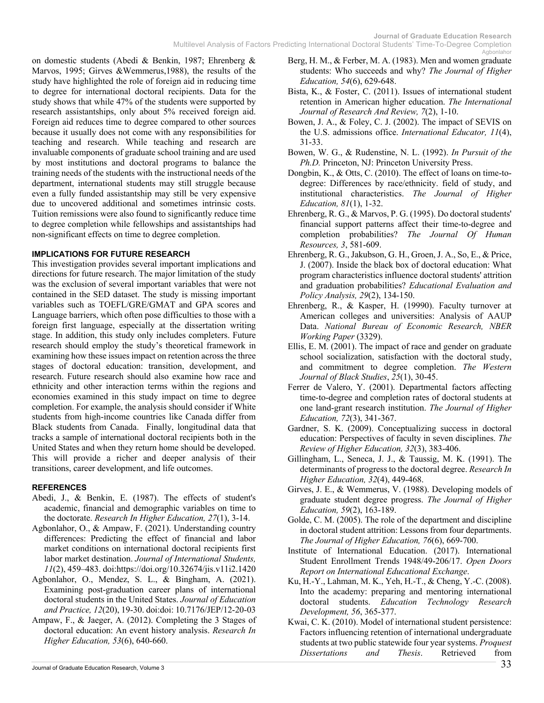Multilevel Analysis of Factors Predicting International Doctoral Students' Time-To-Degree Completion Agbonlahor

on domestic students (Abedi & Benkin, 1987; Ehrenberg & Marvos, 1995; Girves &Wemmerus,1988), the results of the study have highlighted the role of foreign aid in reducing time to degree for international doctoral recipients. Data for the study shows that while 47% of the students were supported by research assistantships, only about 5% received foreign aid. Foreign aid reduces time to degree compared to other sources because it usually does not come with any responsibilities for teaching and research. While teaching and research are invaluable components of graduate school training and are used by most institutions and doctoral programs to balance the training needs of the students with the instructional needs of the department, international students may still struggle because even a fully funded assistantship may still be very expensive due to uncovered additional and sometimes intrinsic costs. Tuition remissions were also found to significantly reduce time to degree completion while fellowships and assistantships had non-significant effects on time to degree completion.

#### **IMPLICATIONS FOR FUTURE RESEARCH**

This investigation provides several important implications and directions for future research. The major limitation of the study was the exclusion of several important variables that were not contained in the SED dataset. The study is missing important variables such as TOEFL/GRE/GMAT and GPA scores and Language barriers, which often pose difficulties to those with a foreign first language, especially at the dissertation writing stage. In addition, this study only includes completers. Future research should employ the study's theoretical framework in examining how these issues impact on retention across the three stages of doctoral education: transition, development, and research. Future research should also examine how race and ethnicity and other interaction terms within the regions and economies examined in this study impact on time to degree completion. For example, the analysis should consider if White students from high-income countries like Canada differ from Black students from Canada. Finally, longitudinal data that tracks a sample of international doctoral recipients both in the United States and when they return home should be developed. This will provide a richer and deeper analysis of their transitions, career development, and life outcomes.

#### **REFERENCES**

- Abedi, J., & Benkin, E. (1987). The effects of student's academic, financial and demographic variables on time to the doctorate. *Research In Higher Education, 27*(1), 3-14.
- Agbonlahor, O., & Ampaw, F. (2021). Understanding country differences: Predicting the effect of financial and labor market conditions on international doctoral recipients first labor market destination. *Journal of International Students, 11*(2), 459–483. doi:https://doi.org/10.32674/jis.v11i2.1420
- Agbonlahor, O., Mendez, S. L., & Bingham, A. (2021). Examining post-graduation career plans of international doctoral students in the United States. *Journal of Education and Practice, 12*(20), 19-30. doi:doi: 10.7176/JEP/12-20-03
- Ampaw, F., & Jaeger, A. (2012). Completing the 3 Stages of doctoral education: An event history analysis. *Research In Higher Education, 53*(6), 640-660.
- Berg, H. M., & Ferber, M. A. (1983). Men and women graduate students: Who succeeds and why? *The Journal of Higher Education, 54*(6), 629-648.
- Bista, K., & Foster, C. (2011). Issues of international student retention in American higher education. *The International Journal of Research And Review, 7*(2), 1-10.
- Bowen, J. A., & Foley, C. J. (2002). The impact of SEVIS on the U.S. admissions office. *International Educator, 11*(4), 31-33.
- Bowen, W. G., & Rudenstine, N. L. (1992). *In Pursuit of the Ph.D.* Princeton, NJ: Princeton University Press.
- Dongbin, K., & Otts, C. (2010). The effect of loans on time-todegree: Differences by race/ethnicity. field of study, and institutional characteristics. *The Journal of Higher Education, 81*(1), 1-32.
- Ehrenberg, R. G., & Marvos, P. G. (1995). Do doctoral students' financial support patterns affect their time-to-degree and completion probabilities? *The Journal Of Human Resources, 3*, 581-609.
- Ehrenberg, R. G., Jakubson, G. H., Groen, J. A., So, E., & Price, J. (2007). Inside the black box of doctoral education: What program characteristics influence doctoral students' attrition and graduation probabilities? *Educational Evaluation and Policy Analysis, 29*(2), 134-150.
- Ehrenberg, R., & Kasper, H. (19990). Faculty turnover at American colleges and universities: Analysis of AAUP Data. *National Bureau of Economic Research, NBER Working Paper* (3329).
- Ellis, E. M. (2001). The impact of race and gender on graduate school socialization, satisfaction with the doctoral study, and commitment to degree completion. *The Western Journal of Black Studies*, *25*(1), 30-45.
- Ferrer de Valero, Y. (2001). Departmental factors affecting time-to-degree and completion rates of doctoral students at one land-grant research institution. *The Journal of Higher Education, 72*(3), 341-367.
- Gardner, S. K. (2009). Conceptualizing success in doctoral education: Perspectives of faculty in seven disciplines. *The Review of Higher Education, 32*(3), 383-406.
- Gillingham, L., Seneca, J. J., & Taussig, M. K. (1991). The determinants of progress to the doctoral degree. *Research In Higher Education, 32*(4), 449-468.
- Girves, J. E., & Wemmerus, V. (1988). Developing models of graduate student degree progress. *The Journal of Higher Education, 59*(2), 163-189.
- Golde, C. M. (2005). The role of the department and discipline in doctoral student attrition: Lessons from four departments. *The Journal of Higher Education, 76*(6), 669-700.
- Institute of International Education. (2017). International Student Enrollment Trends 1948/49-206/17. *Open Doors Report on International Educational Exchange*.
- Ku, H.-Y., Lahman, M. K., Yeh, H.-T., & Cheng, Y.-C. (2008). Into the academy: preparing and mentoring international doctoral students. *Education Technology Research Development, 56*, 365-377.
- Kwai, C. K. (2010). Model of international student persistence: Factors influencing retention of international undergraduate students at two public statewide four year systems. *Proquest Dissertations and Thesis*. Retrieved from